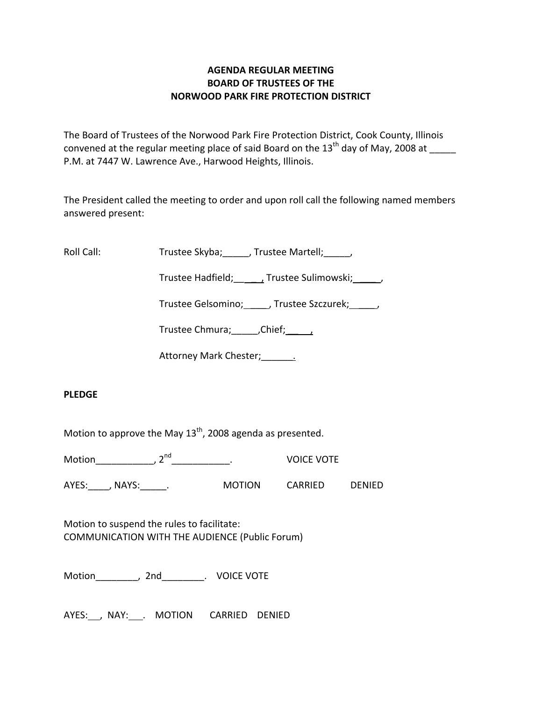# **AGENDA REGULAR MEETING BOARD OF TRUSTEES OF THE NORWOOD PARK FIRE PROTECTION DISTRICT**

The Board of Trustees of the Norwood Park Fire Protection District, Cook County, Illinois convened at the regular meeting place of said Board on the  $13<sup>th</sup>$  day of May, 2008 at P.M. at 7447 W. Lawrence Ave., Harwood Heights, Illinois.

The President called the meeting to order and upon roll call the following named members answered present:

Roll Call: Trustee Skyba; \_\_\_\_, Trustee Martell; \_\_\_\_\_,

Trustee Hadfield; Trustee Sulimowski; 3.1.

Trustee Gelsomino; \_\_\_\_\_, Trustee Szczurek; \_\_\_\_\_,

Trustee Chmura; Chief; 1

Attorney Mark Chester; 1986

# **PLEDGE**

Motion to approve the May  $13^{th}$ , 2008 agenda as presented.

Motion\_\_\_\_\_\_\_\_\_\_\_\_, 2<sup>nd</sup> \_\_\_\_\_\_\_\_\_\_\_. VOICE VOTE

AYES: , NAYS: . MOTION CARRIED DENIED

Motion to suspend the rules to facilitate: COMMUNICATION WITH THE AUDIENCE (Public Forum)

Motion\_\_\_\_\_\_\_\_, 2nd\_\_\_\_\_\_\_\_. VOICE VOTE

AYES: NAY: MOTION CARRIED DENIED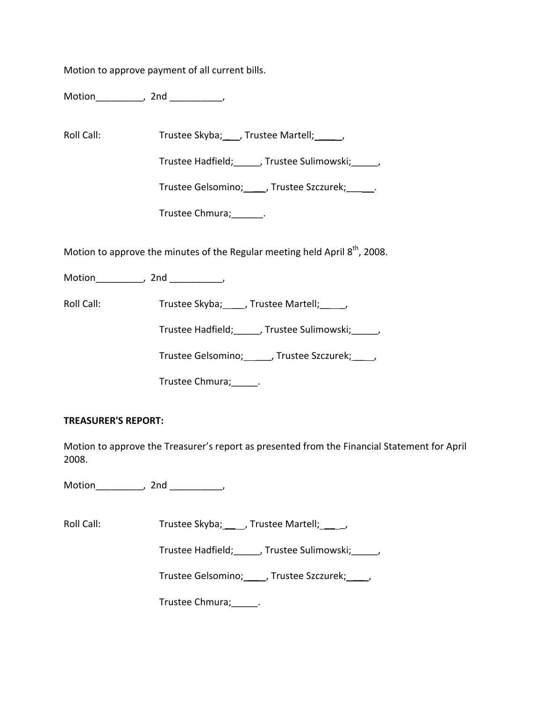Motion to approve payment of all current bills.

Motion\_\_\_\_\_\_\_\_\_, 2nd \_\_\_\_\_\_\_\_\_\_,

Roll Call: Trustee Skyba; \_\_\_, Trustee Martell; \_\_\_\_\_,

Trustee Hadfield;\_\_\_\_\_, Trustee Sulimowski;\_\_\_\_\_,

Trustee Gelsomino; \_\_\_\_\_, Trustee Szczurek; \_\_\_\_\_\_.

Trustee Chmura;\_\_\_\_\_\_.

Motion to approve the minutes of the Regular meeting held April  $8<sup>th</sup>$ , 2008.

Motion\_\_\_\_\_\_\_\_\_\_, 2nd \_\_\_\_\_\_\_\_\_,

Roll Call: Trustee Skyba; \_\_\_, Trustee Martell; \_\_\_,

Trustee Hadfield;\_\_\_\_\_, Trustee Sulimowski;\_\_\_\_\_,

Trustee Gelsomino; \_\_\_\_\_, Trustee Szczurek; \_\_\_\_,

Trustee Chmura;\_\_\_\_\_.

### **TREASURER'S REPORT:**

Motion to approve the Treasurer's report as presented from the Financial Statement for April 2008.

Motion\_\_\_\_\_\_\_\_\_, 2nd \_\_\_\_\_\_\_\_\_\_,

Roll Call: Trustee Skyba; J. Trustee Martell; J.

Trustee Hadfield; frustee Sulimowski; frustee Hadfield;

Trustee Gelsomino; \_\_\_\_, Trustee Szczurek; \_\_\_\_,

Trustee Chmura;\_\_\_\_\_.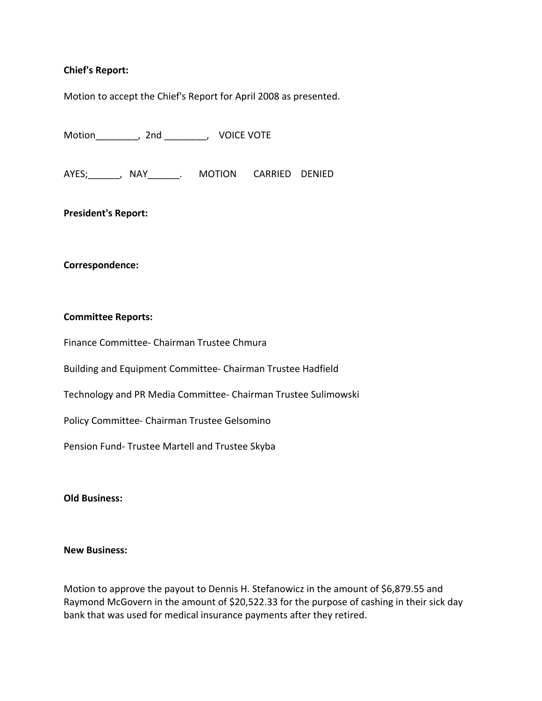### **Chief's Report:**

Motion to accept the Chief's Report for April 2008 as presented.

Motion\_\_\_\_\_\_\_\_, 2nd \_\_\_\_\_\_\_\_, VOICE VOTE

AYES; The AVES of ANAY AND ARRIED DENIED

**President's Report:**

#### **Correspondence:**

#### **Committee Reports:**

Finance Committee‐ Chairman Trustee Chmura

Building and Equipment Committee‐ Chairman Trustee Hadfield

Technology and PR Media Committee‐ Chairman Trustee Sulimowski

Policy Committee‐ Chairman Trustee Gelsomino

Pension Fund‐ Trustee Martell and Trustee Skyba

#### **Old Business:**

#### **New Business:**

Motion to approve the payout to Dennis H. Stefanowicz in the amount of \$6,879.55 and Raymond McGovern in the amount of \$20,522.33 for the purpose of cashing in their sick day bank that was used for medical insurance payments after they retired.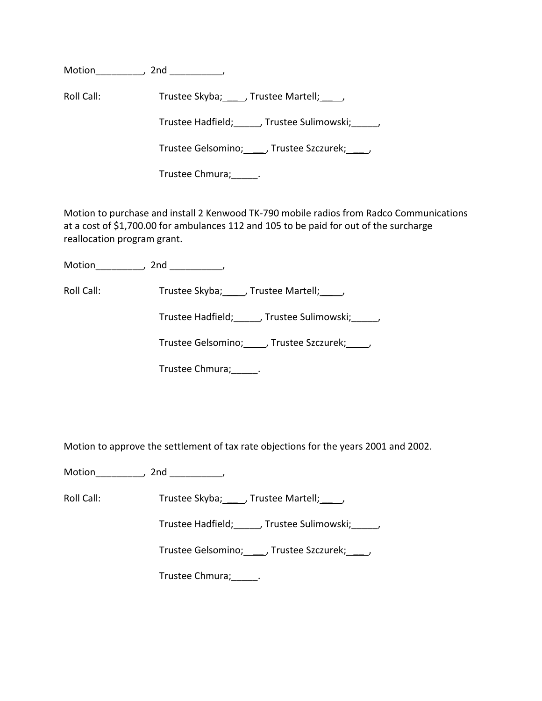Motion\_\_\_\_\_\_\_\_\_, 2nd \_\_\_\_\_\_\_\_\_\_,

Roll Call: Trustee Skyba; \_\_\_\_, Trustee Martell; \_\_\_\_,

Trustee Hadfield; Frustee Sulimowski; Frustee Hadfield;

Trustee Gelsomino; \_\_\_ , Trustee Szczurek; \_\_\_ ,

Trustee Chmura; \_\_\_\_\_\_.

Motion to purchase and install 2 Kenwood TK‐790 mobile radios from Radco Communications at a cost of \$1,700.00 for ambulances 112 and 105 to be paid for out of the surcharge reallocation program grant.

Motion\_\_\_\_\_\_\_\_\_, 2nd \_\_\_\_\_\_\_\_\_\_,

Roll Call: Trustee Skyba; \_\_\_\_, Trustee Martell; \_\_\_\_,

Trustee Hadfield;\_\_\_\_\_, Trustee Sulimowski;\_\_\_\_\_,

Trustee Gelsomino; \_\_\_\_\_, Trustee Szczurek; \_\_\_\_\_,

Trustee Chmura;\_\_\_\_\_.

Motion to approve the settlement of tax rate objections for the years 2001 and 2002.

Motion\_\_\_\_\_\_\_\_\_\_, 2nd \_\_\_\_\_\_\_\_\_\_,

Roll Call: Trustee Skyba; \_\_\_\_, Trustee Martell; \_\_\_\_,

Trustee Hadfield;\_\_\_\_\_, Trustee Sulimowski;\_\_\_\_\_,

Trustee Gelsomino; \_\_\_\_\_, Trustee Szczurek; \_\_\_\_,

Trustee Chmura;\_\_\_\_\_.